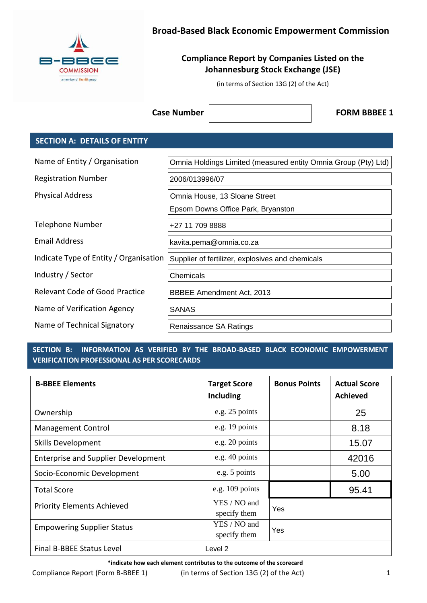

## **Broad-Based Black Economic Empowerment Commission**

## **Compliance Report by Companies Listed on the Johannesburg Stock Exchange (JSE)**

(in terms of Section 13G (2) of the Act)

**Case Number**  $\vert$  **FORM BBBEE 1** 

### **SECTION A: DETAILS OF ENTITY**

| Name of Entity / Organisation          | Omnia Holdings Limited (measured entity Omnia Group (Pty) Ltd) |  |
|----------------------------------------|----------------------------------------------------------------|--|
| <b>Registration Number</b>             | 2006/013996/07                                                 |  |
| <b>Physical Address</b>                | Omnia House, 13 Sloane Street                                  |  |
|                                        | Epsom Downs Office Park, Bryanston                             |  |
| Telephone Number                       | +27 11 709 8888                                                |  |
| Email Address                          | kavita.pema@omnia.co.za                                        |  |
| Indicate Type of Entity / Organisation | Supplier of fertilizer, explosives and chemicals               |  |
| Industry / Sector                      | Chemicals                                                      |  |
| <b>Relevant Code of Good Practice</b>  | <b>BBBEE Amendment Act, 2013</b>                               |  |
| Name of Verification Agency            | <b>SANAS</b>                                                   |  |
| Name of Technical Signatory            | Renaissance SA Ratings                                         |  |

### **SECTION B: INFORMATION AS VERIFIED BY THE BROAD-BASED BLACK ECONOMIC EMPOWERMENT VERIFICATION PROFESSIONAL AS PER SCORECARDS**

| <b>B-BBEE Elements</b>                     | <b>Target Score</b><br>Including | <b>Bonus Points</b> | <b>Actual Score</b><br><b>Achieved</b> |
|--------------------------------------------|----------------------------------|---------------------|----------------------------------------|
| Ownership                                  | e.g. 25 points                   |                     | 25                                     |
| <b>Management Control</b>                  | e.g. 19 points                   |                     | 8.18                                   |
| <b>Skills Development</b>                  | e.g. 20 points                   |                     | 15.07                                  |
| <b>Enterprise and Supplier Development</b> | e.g. 40 points                   |                     | 42016                                  |
| Socio-Economic Development                 | e.g. 5 points                    |                     | 5.00                                   |
| <b>Total Score</b>                         | e.g. $109$ points                |                     | 95.41                                  |
| <b>Priority Elements Achieved</b>          | YES / NO and<br>specify them     | Yes                 |                                        |
| <b>Empowering Supplier Status</b>          | YES / NO and<br>specify them     | Yes                 |                                        |
| Final B-BBEE Status Level                  | Level <sub>2</sub>               |                     |                                        |

**\*indicate how each element contributes to the outcome of the scorecard**

Compliance Report (Form B-BBEE 1) (in terms of Section 13G (2) of the Act) 1